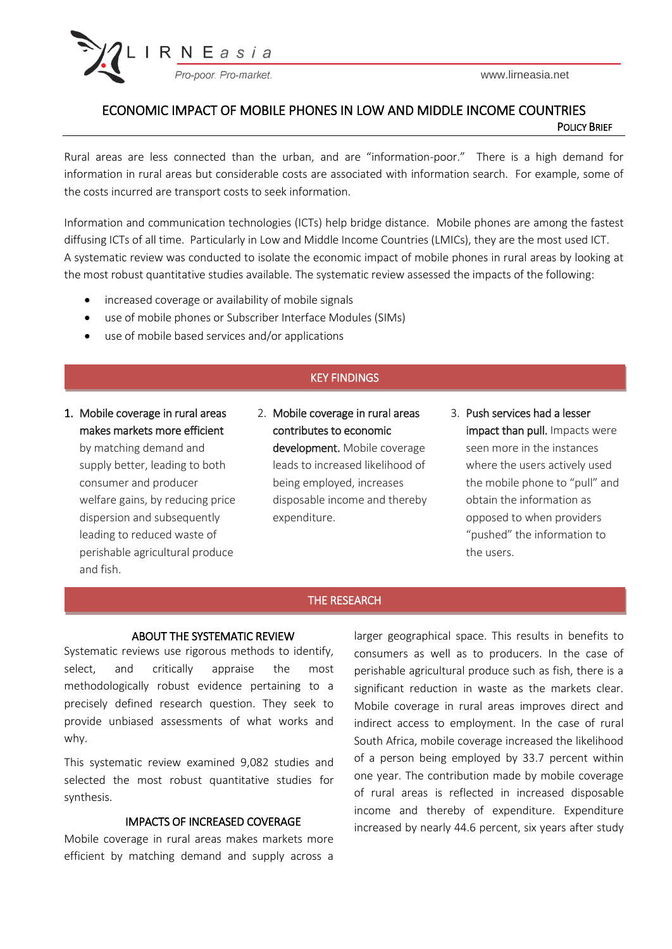

www.lirneasia.net

# ECONOMIC IMPACT OF MOBILE PHONES IN LOW AND MIDDLE INCOME COUNTRIES **POLICY BRIEF**

Rural areas are less connected than the urban, and are "information-poor." There is a high demand for information in rural areas but considerable costs are associated with information search. For example, some of the costs incurred are transport costs to seek information.

Information and communication technologies (ICTs) help bridge distance. Mobile phones are among the fastest diffusing ICTs of all time. Particularly in Low and Middle Income Countries (LMICs), they are the most used ICT. A systematic review was conducted to isolate the economic impact of mobile phones in rural areas by looking at the most robust quantitative studies available. The systematic review assessed the impacts of the following:

- increased coverage or availability of mobile signals
- use of mobile phones or Subscriber Interface Modules (SIMs)
- use of mobile based services and/or applications

# KEY FINDINGS

1. Mobile coverage in rural areas makes markets more efficient by matching demand and supply better, leading to both consumer and producer welfare gains, by reducing price dispersion and subsequently leading to reduced waste of perishable agricultural produce and fish.

- 2. Mobile coverage in rural areas contributes to economic development. Mobile coverage leads to increased likelihood of being employed, increases disposable income and thereby expenditure.
- 3. Push services had a lesser impact than pull. Impacts were seen more in the instances where the users actively used the mobile phone to "pull" and obtain the information as opposed to when providers "pushed" the information to the users.

## THE RESEARCH

#### ABOUT THE SYSTEMATIC REVIEW

Systematic reviews use rigorous methods to identify, select, and critically appraise the most methodologically robust evidence pertaining to a precisely defined research question. They seek to provide unbiased assessments of what works and why.

This systematic review examined 9,082 studies and selected the most robust quantitative studies for synthesis.

## IMPACTS OF INCREASED COVERAGE

Mobile coverage in rural areas makes markets more efficient by matching demand and supply across a larger geographical space. This results in benefits to consumers as well as to producers. In the case of perishable agricultural produce such as fish, there is a significant reduction in waste as the markets clear. Mobile coverage in rural areas improves direct and indirect access to employment. In the case of rural South Africa, mobile coverage increased the likelihood of a person being employed by 33.7 percent within one year. The contribution made by mobile coverage of rural areas is reflected in increased disposable income and thereby of expenditure. Expenditure increased by nearly 44.6 percent, six years after study